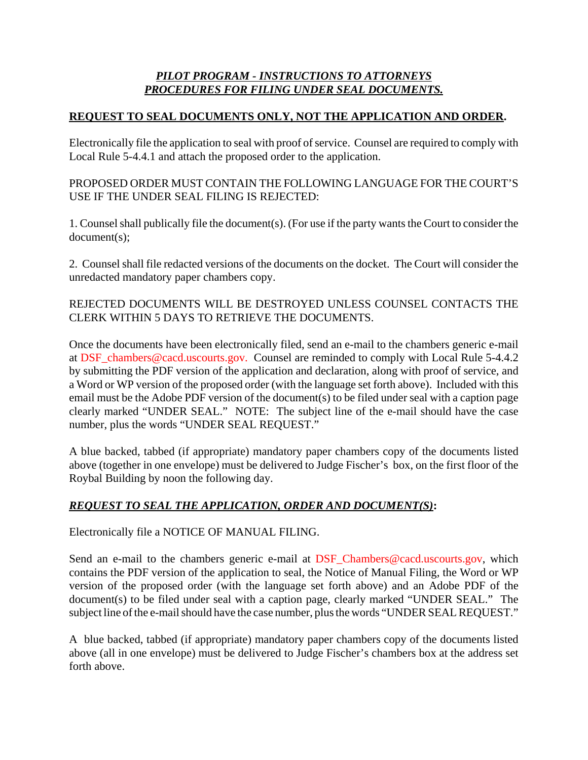## *PILOT PROGRAM - INSTRUCTIONS TO ATTORNEYS PROCEDURES FOR FILING UNDER SEAL DOCUMENTS.*

## **REQUEST TO SEAL DOCUMENTS ONLY, NOT THE APPLICATION AND ORDER.**

Electronically file the application to seal with proof of service. Counsel are required to comply with Local Rule 5-4.4.1 and attach the proposed order to the application.

PROPOSED ORDER MUST CONTAIN THE FOLLOWING LANGUAGE FOR THE COURT'S USE IF THE UNDER SEAL FILING IS REJECTED:

1. Counsel shall publically file the document(s). (For use if the party wants the Court to consider the document(s);

2. Counsel shall file redacted versions of the documents on the docket. The Court will consider the unredacted mandatory paper chambers copy.

## REJECTED DOCUMENTS WILL BE DESTROYED UNLESS COUNSEL CONTACTS THE CLERK WITHIN 5 DAYS TO RETRIEVE THE DOCUMENTS.

Once the documents have been electronically filed, send an e-mail to the chambers generic e-mail at DSF\_chambers@cacd.uscourts.gov. Counsel are reminded to comply with Local Rule 5-4.4.2 by submitting the PDF version of the application and declaration, along with proof of service, and a Word or WP version of the proposed order (with the language set forth above). Included with this email must be the Adobe PDF version of the document(s) to be filed under seal with a caption page clearly marked "UNDER SEAL." NOTE: The subject line of the e-mail should have the case number, plus the words "UNDER SEAL REQUEST."

A blue backed, tabbed (if appropriate) mandatory paper chambers copy of the documents listed above (together in one envelope) must be delivered to Judge Fischer's box, on the first floor of the Roybal Building by noon the following day.

## *REQUEST TO SEAL THE APPLICATION, ORDER AND DOCUMENT(S)***:**

Electronically file a NOTICE OF MANUAL FILING.

Send an e-mail to the chambers generic e-mail at DSF\_Chambers@cacd.uscourts.gov, which contains the PDF version of the application to seal, the Notice of Manual Filing, the Word or WP version of the proposed order (with the language set forth above) and an Adobe PDF of the document(s) to be filed under seal with a caption page, clearly marked "UNDER SEAL." The subject line of the e-mail should have the case number, plus the words "UNDER SEAL REQUEST."

A blue backed, tabbed (if appropriate) mandatory paper chambers copy of the documents listed above (all in one envelope) must be delivered to Judge Fischer's chambers box at the address set forth above.